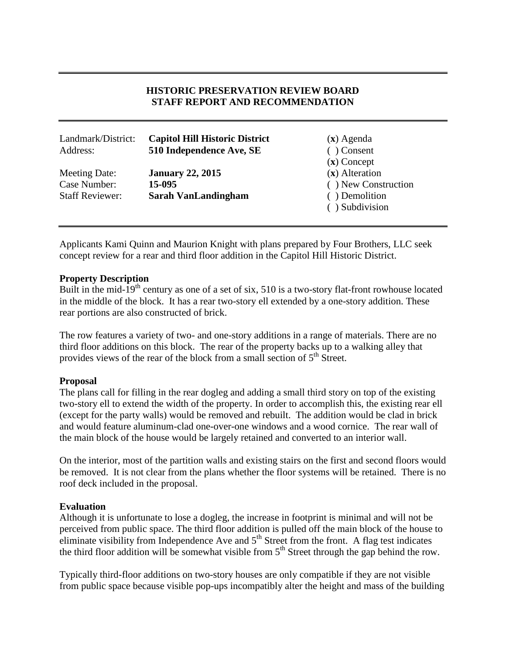# **HISTORIC PRESERVATION REVIEW BOARD STAFF REPORT AND RECOMMENDATION**

| Landmark/District:<br>Address:                          | <b>Capitol Hill Historic District</b><br>510 Independence Ave, SE | $(x)$ Agenda<br>Consent<br>$(x)$ Concept                               |
|---------------------------------------------------------|-------------------------------------------------------------------|------------------------------------------------------------------------|
| Meeting Date:<br>Case Number:<br><b>Staff Reviewer:</b> | <b>January 22, 2015</b><br>15-095<br><b>Sarah VanLandingham</b>   | $(x)$ Alteration<br>() New Construction<br>Demolition<br>) Subdivision |

Applicants Kami Quinn and Maurion Knight with plans prepared by Four Brothers, LLC seek concept review for a rear and third floor addition in the Capitol Hill Historic District.

### **Property Description**

Built in the mid-19<sup>th</sup> century as one of a set of six, 510 is a two-story flat-front rowhouse located in the middle of the block. It has a rear two-story ell extended by a one-story addition. These rear portions are also constructed of brick.

The row features a variety of two- and one-story additions in a range of materials. There are no third floor additions on this block. The rear of the property backs up to a walking alley that provides views of the rear of the block from a small section of  $5<sup>th</sup>$  Street.

#### **Proposal**

The plans call for filling in the rear dogleg and adding a small third story on top of the existing two-story ell to extend the width of the property. In order to accomplish this, the existing rear ell (except for the party walls) would be removed and rebuilt. The addition would be clad in brick and would feature aluminum-clad one-over-one windows and a wood cornice. The rear wall of the main block of the house would be largely retained and converted to an interior wall.

On the interior, most of the partition walls and existing stairs on the first and second floors would be removed. It is not clear from the plans whether the floor systems will be retained. There is no roof deck included in the proposal.

#### **Evaluation**

Although it is unfortunate to lose a dogleg, the increase in footprint is minimal and will not be perceived from public space. The third floor addition is pulled off the main block of the house to eliminate visibility from Independence Ave and 5<sup>th</sup> Street from the front. A flag test indicates the third floor addition will be somewhat visible from  $5<sup>th</sup>$  Street through the gap behind the row.

Typically third-floor additions on two-story houses are only compatible if they are not visible from public space because visible pop-ups incompatibly alter the height and mass of the building